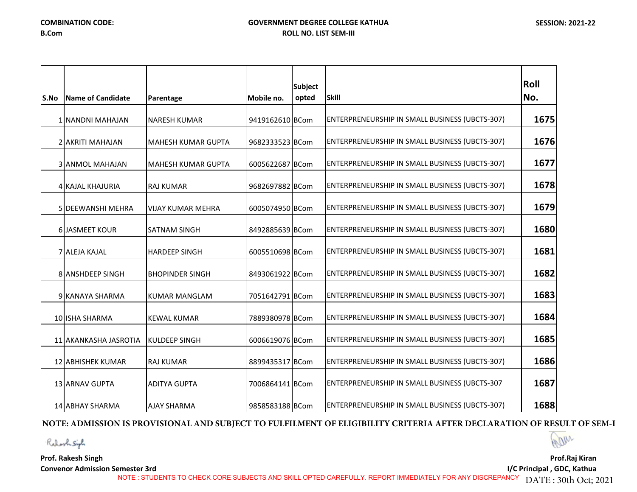| S.No | Name of Candidate        | Parentage                 | Mobile no.      | <b>Subject</b><br>opted | <b>Skill</b>                                          | Roll<br>No. |
|------|--------------------------|---------------------------|-----------------|-------------------------|-------------------------------------------------------|-------------|
|      | 1 NANDNI MAHAJAN         | <b>NARESH KUMAR</b>       | 9419162610 BCom |                         | ENTERPRENEURSHIP IN SMALL BUSINESS (UBCTS-307)        | 1675        |
|      | 2 AKRITI MAHAJAN         | <b>MAHESH KUMAR GUPTA</b> | 9682333523 BCom |                         | ENTERPRENEURSHIP IN SMALL BUSINESS (UBCTS-307)        | 1676        |
|      | <b>3 ANMOL MAHAJAN</b>   | <b>MAHESH KUMAR GUPTA</b> | 6005622687 BCom |                         | <b>ENTERPRENEURSHIP IN SMALL BUSINESS (UBCTS-307)</b> | 1677        |
|      | 4 KAJAL KHAJURIA         | <b>RAJ KUMAR</b>          | 9682697882 BCom |                         | ENTERPRENEURSHIP IN SMALL BUSINESS (UBCTS-307)        | 1678        |
|      | <b>5 DEEWANSHI MEHRA</b> | <b>VIJAY KUMAR MEHRA</b>  | 6005074950 BCom |                         | ENTERPRENEURSHIP IN SMALL BUSINESS (UBCTS-307)        | 1679        |
|      | <b>6 JASMEET KOUR</b>    | <b>SATNAM SINGH</b>       | 8492885639 BCom |                         | ENTERPRENEURSHIP IN SMALL BUSINESS (UBCTS-307)        | 1680        |
|      | <b>7 ALEJA KAJAL</b>     | <b>HARDEEP SINGH</b>      | 6005510698 BCom |                         | ENTERPRENEURSHIP IN SMALL BUSINESS (UBCTS-307)        | 1681        |
|      | 8 ANSHDEEP SINGH         | <b>BHOPINDER SINGH</b>    | 8493061922 BCom |                         | ENTERPRENEURSHIP IN SMALL BUSINESS (UBCTS-307)        | 1682        |
|      | 9 KANAYA SHARMA          | <b>KUMAR MANGLAM</b>      | 7051642791 BCom |                         | ENTERPRENEURSHIP IN SMALL BUSINESS (UBCTS-307)        | 1683        |
|      | 10 ISHA SHARMA           | <b>KEWAL KUMAR</b>        | 7889380978 BCom |                         | ENTERPRENEURSHIP IN SMALL BUSINESS (UBCTS-307)        | 1684        |
|      | 11 AKANKASHA JASROTIA    | KULDEEP SINGH             | 6006619076 BCom |                         | ENTERPRENEURSHIP IN SMALL BUSINESS (UBCTS-307)        | 1685        |
|      | 12 ABHISHEK KUMAR        | <b>RAJ KUMAR</b>          | 8899435317 BCom |                         | ENTERPRENEURSHIP IN SMALL BUSINESS (UBCTS-307)        | 1686        |
|      | 13 ARNAV GUPTA           | <b>ADITYA GUPTA</b>       | 7006864141 BCom |                         | ENTERPRENEURSHIP IN SMALL BUSINESS (UBCTS-307         | 1687        |
|      | 14 ABHAY SHARMA          | <b>AJAY SHARMA</b>        | 9858583188 BCom |                         | <b>ENTERPRENEURSHIP IN SMALL BUSINESS (UBCTS-307)</b> | 1688        |

## **NOTE: ADMISSION IS PROVISIONAL AND SUBJECT TO FULFILMENT OF ELIGIBILITY CRITERIA AFTER DECLARATION OF RESULT OF SEM-I**

Walley

**Prof. Rakesh Singh**

Robert Siph

**Convenor Admission Semester 3rd**

**Prof.Raj Kiran I/C Principal , GDC, Kathua** 

NOTE : STUDENTS TO CHECK CORE SUBJECTS AND SKILL OPTED CAREFULLY. REPORT IMMEDIATELY FOR ANY DISCREPANCY DATE : 30th Oct; 2021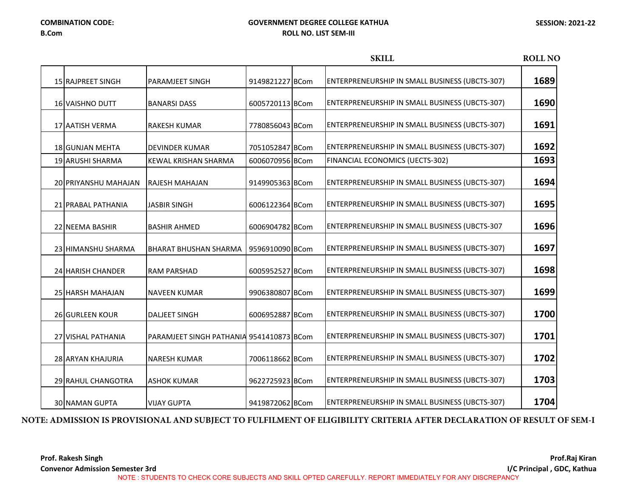**Prof.Raj Kiran** 

**Prof. Rakesh Singh**

**Convenor Admission Semester 3rd**

### **GOVERNMENT DEGREE COLLEGE KATHUA ROLL NO. LIST SEM-III**

|                         |                                          |                 | <b>SKILL</b>                                          | <b>ROLL NO</b> |
|-------------------------|------------------------------------------|-----------------|-------------------------------------------------------|----------------|
| 15 RAJPREET SINGH       | PARAMJEET SINGH                          | 9149821227 BCom | ENTERPRENEURSHIP IN SMALL BUSINESS (UBCTS-307)        | 1689           |
| <b>16 VAISHNO DUTT</b>  | <b>BANARSI DASS</b>                      | 6005720113 BCom | ENTERPRENEURSHIP IN SMALL BUSINESS (UBCTS-307)        | 1690           |
| 17 AATISH VERMA         | RAKESH KUMAR                             | 7780856043 BCom | ENTERPRENEURSHIP IN SMALL BUSINESS (UBCTS-307)        | 1691           |
| 18 GUNJAN MEHTA         | <b>DEVINDER KUMAR</b>                    | 7051052847 BCom | <b>ENTERPRENEURSHIP IN SMALL BUSINESS (UBCTS-307)</b> | 1692           |
| <b>19 ARUSHI SHARMA</b> | <b>KEWAL KRISHAN SHARMA</b>              | 6006070956 BCom | FINANCIAL ECONOMICS (UECTS-302)                       | 1693           |
| 20 PRIYANSHU MAHAJAN    | <b>RAJESH MAHAJAN</b>                    | 9149905363 BCom | ENTERPRENEURSHIP IN SMALL BUSINESS (UBCTS-307)        | 1694           |
| 21 PRABAL PATHANIA      | <b>JASBIR SINGH</b>                      | 6006122364 BCom | ENTERPRENEURSHIP IN SMALL BUSINESS (UBCTS-307)        | 1695           |
| 22 NEEMA BASHIR         | <b>BASHIR AHMED</b>                      | 6006904782 BCom | ENTERPRENEURSHIP IN SMALL BUSINESS (UBCTS-307         | 1696           |
| 23 HIMANSHU SHARMA      | <b>BHARAT BHUSHAN SHARMA</b>             | 9596910090 BCom | ENTERPRENEURSHIP IN SMALL BUSINESS (UBCTS-307)        | 1697           |
| 24 HARISH CHANDER       | <b>RAM PARSHAD</b>                       | 6005952527 BCom | ENTERPRENEURSHIP IN SMALL BUSINESS (UBCTS-307)        | 1698           |
| 25 HARSH MAHAJAN        | <b>NAVEEN KUMAR</b>                      | 9906380807 BCom | ENTERPRENEURSHIP IN SMALL BUSINESS (UBCTS-307)        | 1699           |
| <b>26 GURLEEN KOUR</b>  | <b>DALJEET SINGH</b>                     | 6006952887 BCom | ENTERPRENEURSHIP IN SMALL BUSINESS (UBCTS-307)        | 1700           |
| 27 VISHAL PATHANIA      | PARAMJEET SINGH PATHANIA 9541410873 BCom |                 | ENTERPRENEURSHIP IN SMALL BUSINESS (UBCTS-307)        | 1701           |
| 28 ARYAN KHAJURIA       | <b>NARESH KUMAR</b>                      | 7006118662 BCom | ENTERPRENEURSHIP IN SMALL BUSINESS (UBCTS-307)        | 1702           |
| 29 RAHUL CHANGOTRA      | <b>ASHOK KUMAR</b>                       | 9622725923 BCom | ENTERPRENEURSHIP IN SMALL BUSINESS (UBCTS-307)        | 1703           |
| <b>30 NAMAN GUPTA</b>   | <b>VIJAY GUPTA</b>                       | 9419872062 BCom | <b>ENTERPRENEURSHIP IN SMALL BUSINESS (UBCTS-307)</b> | 1704           |

## **NOTE: ADMISSION IS PROVISIONAL AND SUBJECT TO FULFILMENT OF ELIGIBILITY CRITERIA AFTER DECLARATION OF RESULT OF SEM-I**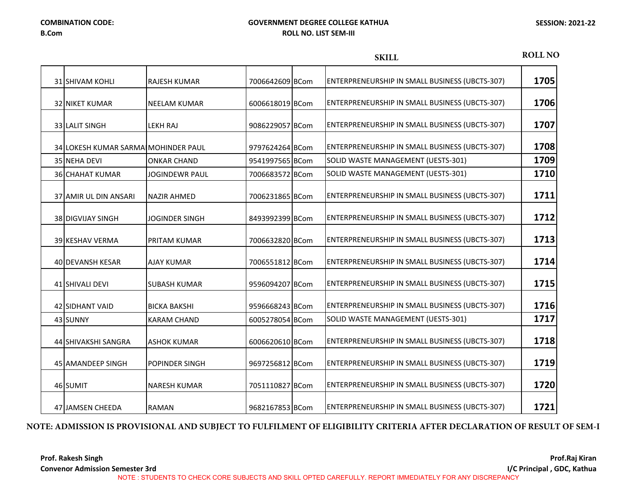|                                     |                       |                 | <b>SKILL</b>                                          | <b>ROLL NO</b> |
|-------------------------------------|-----------------------|-----------------|-------------------------------------------------------|----------------|
| <b>31 SHIVAM KOHLI</b>              | <b>RAJESH KUMAR</b>   | 7006642609 BCom | ENTERPRENEURSHIP IN SMALL BUSINESS (UBCTS-307)        | 1705           |
| <b>32 NIKET KUMAR</b>               | <b>NEELAM KUMAR</b>   | 6006618019 BCom | ENTERPRENEURSHIP IN SMALL BUSINESS (UBCTS-307)        | 1706           |
| 33 LALIT SINGH                      | LEKH RAJ              | 9086229057 BCom | ENTERPRENEURSHIP IN SMALL BUSINESS (UBCTS-307)        | 1707           |
| 34 LOKESH KUMAR SARMAIMOHINDER PAUL |                       | 9797624264 BCom | ENTERPRENEURSHIP IN SMALL BUSINESS (UBCTS-307)        | 1708           |
| 35 NEHA DEVI                        | <b>ONKAR CHAND</b>    | 9541997565 BCom | SOLID WASTE MANAGEMENT (UESTS-301)                    | 1709           |
| <b>36 CHAHAT KUMAR</b>              | <b>JOGINDEWR PAUL</b> | 7006683572 BCom | SOLID WASTE MANAGEMENT (UESTS-301)                    | 1710           |
| <b>37 AMIR UL DIN ANSARI</b>        | <b>NAZIR AHMED</b>    | 7006231865 BCom | ENTERPRENEURSHIP IN SMALL BUSINESS (UBCTS-307)        | 1711           |
| 38 DIGVIJAY SINGH                   | <b>JOGINDER SINGH</b> | 8493992399 BCom | ENTERPRENEURSHIP IN SMALL BUSINESS (UBCTS-307)        | 1712           |
| 39 KESHAV VERMA                     | PRITAM KUMAR          | 7006632820 BCom | ENTERPRENEURSHIP IN SMALL BUSINESS (UBCTS-307)        | 1713           |
| 40 DEVANSH KESAR                    | <b>AJAY KUMAR</b>     | 7006551812 BCom | ENTERPRENEURSHIP IN SMALL BUSINESS (UBCTS-307)        | 1714           |
| 41 SHIVALI DEVI                     | <b>SUBASH KUMAR</b>   | 9596094207 BCom | ENTERPRENEURSHIP IN SMALL BUSINESS (UBCTS-307)        | 1715           |
| 42 SIDHANT VAID                     | <b>BICKA BAKSHI</b>   | 9596668243 BCom | ENTERPRENEURSHIP IN SMALL BUSINESS (UBCTS-307)        | 1716           |
| 43 SUNNY                            | <b>KARAM CHAND</b>    | 6005278054 BCom | SOLID WASTE MANAGEMENT (UESTS-301)                    | 1717           |
| 44 SHIVAKSHI SANGRA                 | <b>ASHOK KUMAR</b>    | 6006620610 BCom | ENTERPRENEURSHIP IN SMALL BUSINESS (UBCTS-307)        | 1718           |
| 45 AMANDEEP SINGH                   | POPINDER SINGH        | 9697256812 BCom | ENTERPRENEURSHIP IN SMALL BUSINESS (UBCTS-307)        | 1719           |
| 46 SUMIT                            | <b>NARESH KUMAR</b>   | 7051110827 BCom | ENTERPRENEURSHIP IN SMALL BUSINESS (UBCTS-307)        | 1720           |
| 47 JAMSEN CHEEDA                    | <b>RAMAN</b>          | 9682167853 BCom | <b>ENTERPRENEURSHIP IN SMALL BUSINESS (UBCTS-307)</b> | 1721           |

## **NOTE: ADMISSION IS PROVISIONAL AND SUBJECT TO FULFILMENT OF ELIGIBILITY CRITERIA AFTER DECLARATION OF RESULT OF SEM-I**

**Prof. Rakesh Singh Convenor Admission Semester 3rd**

**Prof.Raj Kiran I/C Principal , GDC, Kathua** 

NOTE : STUDENTS TO CHECK CORE SUBJECTS AND SKILL OPTED CAREFULLY. REPORT IMMEDIATELY FOR ANY DISCREPANCY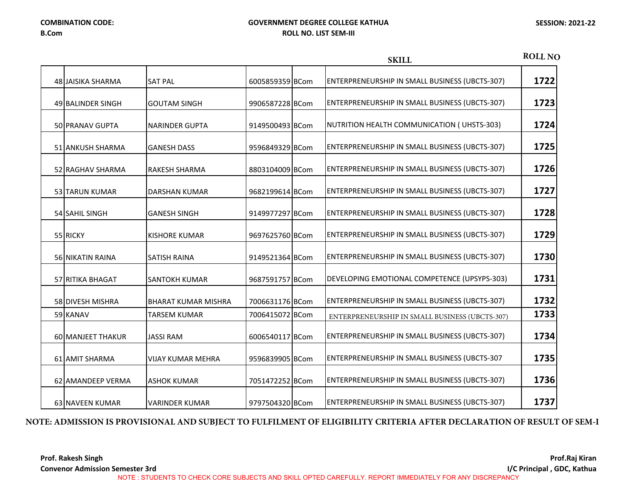|                       |                            |                 | <b>SKILL</b>                                          | <b>ROLL NO</b> |
|-----------------------|----------------------------|-----------------|-------------------------------------------------------|----------------|
| 48 JAISIKA SHARMA     | <b>SAT PAL</b>             | 6005859359 BCom | ENTERPRENEURSHIP IN SMALL BUSINESS (UBCTS-307)        | 1722           |
| 49 BALINDER SINGH     | <b>GOUTAM SINGH</b>        | 9906587228 BCom | ENTERPRENEURSHIP IN SMALL BUSINESS (UBCTS-307)        | 1723           |
| 50 PRANAV GUPTA       | <b>NARINDER GUPTA</b>      | 9149500493 BCom | NUTRITION HEALTH COMMUNICATION (UHSTS-303)            | 1724           |
| 51 ANKUSH SHARMA      | <b>GANESH DASS</b>         | 9596849329 BCom | ENTERPRENEURSHIP IN SMALL BUSINESS (UBCTS-307)        | 1725           |
| 52 RAGHAV SHARMA      | <b>RAKESH SHARMA</b>       | 8803104009 BCom | ENTERPRENEURSHIP IN SMALL BUSINESS (UBCTS-307)        | 1726           |
| <b>53 TARUN KUMAR</b> | <b>DARSHAN KUMAR</b>       | 9682199614 BCom | ENTERPRENEURSHIP IN SMALL BUSINESS (UBCTS-307)        | 1727           |
| 54 SAHIL SINGH        | <b>GANESH SINGH</b>        | 9149977297 BCom | ENTERPRENEURSHIP IN SMALL BUSINESS (UBCTS-307)        | 1728           |
| 55 RICKY              | <b>KISHORE KUMAR</b>       | 9697625760 BCom | ENTERPRENEURSHIP IN SMALL BUSINESS (UBCTS-307)        | 1729           |
| 56 NIKATIN RAINA      | <b>SATISH RAINA</b>        | 9149521364 BCom | ENTERPRENEURSHIP IN SMALL BUSINESS (UBCTS-307)        | 1730           |
| 57 RITIKA BHAGAT      | <b>SANTOKH KUMAR</b>       | 9687591757 BCom | DEVELOPING EMOTIONAL COMPETENCE (UPSYPS-303)          | 1731           |
| 58 DIVESH MISHRA      | <b>BHARAT KUMAR MISHRA</b> | 7006631176 BCom | ENTERPRENEURSHIP IN SMALL BUSINESS (UBCTS-307)        | 1732           |
| 59 KANAV              | <b>TARSEM KUMAR</b>        | 7006415072 BCom | ENTERPRENEURSHIP IN SMALL BUSINESS (UBCTS-307)        | 1733           |
| 60 MANJEET THAKUR     | <b>JASSI RAM</b>           | 6006540117 BCom | ENTERPRENEURSHIP IN SMALL BUSINESS (UBCTS-307)        | 1734           |
| 61 AMIT SHARMA        | <b>VIJAY KUMAR MEHRA</b>   | 9596839905 BCom | ENTERPRENEURSHIP IN SMALL BUSINESS (UBCTS-307         | 1735           |
| 62 AMANDEEP VERMA     | <b>ASHOK KUMAR</b>         | 7051472252 BCom | ENTERPRENEURSHIP IN SMALL BUSINESS (UBCTS-307)        | 1736           |
| 63 NAVEEN KUMAR       | <b>VARINDER KUMAR</b>      | 9797504320 BCom | <b>ENTERPRENEURSHIP IN SMALL BUSINESS (UBCTS-307)</b> | 1737           |

# **NOTE: ADMISSION IS PROVISIONAL AND SUBJECT TO FULFILMENT OF ELIGIBILITY CRITERIA AFTER DECLARATION OF RESULT OF SEM-I**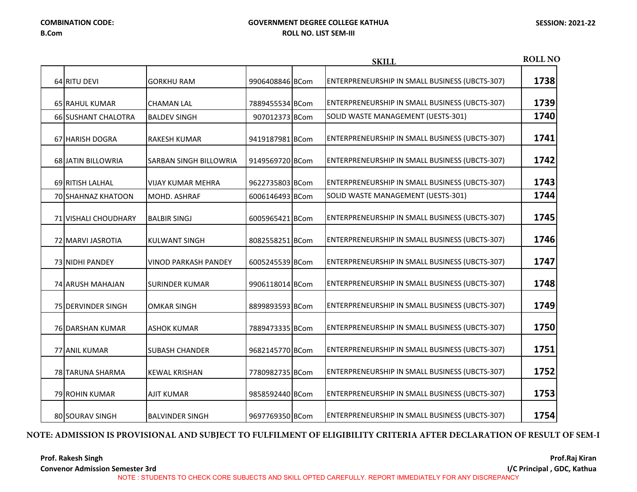|                            |                             |                 | <b>SKILL</b>                                   | <b>ROLL NO</b> |
|----------------------------|-----------------------------|-----------------|------------------------------------------------|----------------|
| 64 RITU DEVI               | <b>GORKHU RAM</b>           | 9906408846 BCom | ENTERPRENEURSHIP IN SMALL BUSINESS (UBCTS-307) | 1738           |
| 65 RAHUL KUMAR             | <b>CHAMAN LAL</b>           | 7889455534 BCom | ENTERPRENEURSHIP IN SMALL BUSINESS (UBCTS-307) | 1739           |
| <b>66 SUSHANT CHALOTRA</b> | <b>BALDEV SINGH</b>         | 907012373 BCom  | SOLID WASTE MANAGEMENT (UESTS-301)             | 1740           |
| 67 HARISH DOGRA            | <b>RAKESH KUMAR</b>         | 9419187981 BCom | ENTERPRENEURSHIP IN SMALL BUSINESS (UBCTS-307) | 1741           |
| 68 JATIN BILLOWRIA         | SARBAN SINGH BILLOWRIA      | 9149569720 BCom | ENTERPRENEURSHIP IN SMALL BUSINESS (UBCTS-307) | 1742           |
| 69 RITISH LALHAL           | VIJAY KUMAR MEHRA           | 9622735803 BCom | ENTERPRENEURSHIP IN SMALL BUSINESS (UBCTS-307) | 1743           |
| <b>70 SHAHNAZ KHATOON</b>  | MOHD. ASHRAF                | 6006146493 BCom | SOLID WASTE MANAGEMENT (UESTS-301)             | 1744           |
| 71 VISHALI CHOUDHARY       | <b>BALBIR SINGJ</b>         | 6005965421 BCom | ENTERPRENEURSHIP IN SMALL BUSINESS (UBCTS-307) | 1745           |
| 72 MARVI JASROTIA          | <b>KULWANT SINGH</b>        | 8082558251 BCom | ENTERPRENEURSHIP IN SMALL BUSINESS (UBCTS-307) | 1746           |
| 73 NIDHI PANDEY            | <b>VINOD PARKASH PANDEY</b> | 6005245539 BCom | ENTERPRENEURSHIP IN SMALL BUSINESS (UBCTS-307) | 1747           |
| 74 ARUSH MAHAJAN           | <b>SURINDER KUMAR</b>       | 9906118014 BCom | ENTERPRENEURSHIP IN SMALL BUSINESS (UBCTS-307) | 1748           |
| 75 DERVINDER SINGH         | <b>OMKAR SINGH</b>          | 8899893593 BCom | ENTERPRENEURSHIP IN SMALL BUSINESS (UBCTS-307) | 1749           |
| 76 DARSHAN KUMAR           | <b>ASHOK KUMAR</b>          | 7889473335 BCom | ENTERPRENEURSHIP IN SMALL BUSINESS (UBCTS-307) | 1750           |
| 77 ANIL KUMAR              | <b>SUBASH CHANDER</b>       | 9682145770 BCom | ENTERPRENEURSHIP IN SMALL BUSINESS (UBCTS-307) | 1751           |
| 78 TARUNA SHARMA           | <b>KEWAL KRISHAN</b>        | 7780982735 BCom | ENTERPRENEURSHIP IN SMALL BUSINESS (UBCTS-307) | 1752           |
| 79 ROHIN KUMAR             | <b>AJIT KUMAR</b>           | 9858592440 BCom | ENTERPRENEURSHIP IN SMALL BUSINESS (UBCTS-307) | 1753           |
| 80 SOURAV SINGH            | <b>BALVINDER SINGH</b>      | 9697769350 BCom | ENTERPRENEURSHIP IN SMALL BUSINESS (UBCTS-307) | 1754           |

## **NOTE: ADMISSION IS PROVISIONAL AND SUBJECT TO FULFILMENT OF ELIGIBILITY CRITERIA AFTER DECLARATION OF RESULT OF SEM-I**

**Prof. Rakesh Singh**

**Convenor Admission Semester 3rd**

**Prof.Raj Kiran I/C Principal , GDC, Kathua** 

NOTE : STUDENTS TO CHECK CORE SUBJECTS AND SKILL OPTED CAREFULLY. REPORT IMMEDIATELY FOR ANY DISCREPANCY